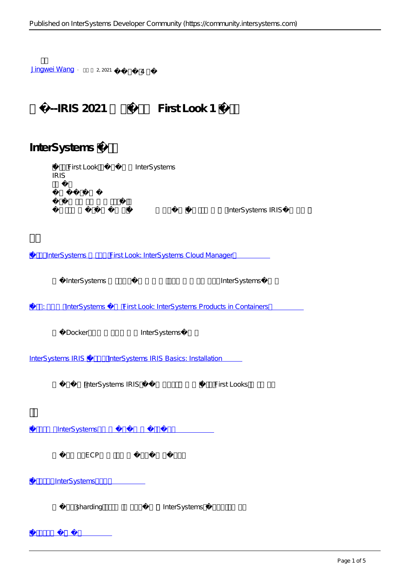| Jingwei Wang<br>2.2021                                          | $\overline{4}$ |                   |  |  |
|-----------------------------------------------------------------|----------------|-------------------|--|--|
| $-IRIS$ 2021                                                    | First Look 1   |                   |  |  |
| InterSystems<br>FirstLook<br>IRIS                               | InterSystems   |                   |  |  |
|                                                                 |                | InterSystems IRIS |  |  |
| First Look: InterSystems Cloud Manager<br>InterSystems          |                |                   |  |  |
| InterSystems                                                    |                | InterSystems      |  |  |
| First Look: InterSystems Products in Containers<br>InterSystems |                |                   |  |  |
| Docker                                                          | InterSystems   |                   |  |  |
| InterSystems IRIS<br>InterSystems IRIS Basics: Installation     |                |                   |  |  |
| InterSystems IRIS                                               |                | FirstLooks        |  |  |
|                                                                 |                |                   |  |  |
| InterSystems                                                    |                |                   |  |  |
| ECP                                                             |                |                   |  |  |
| InterSystems                                                    |                |                   |  |  |
| sharding                                                        | InterSystems   |                   |  |  |
|                                                                 |                |                   |  |  |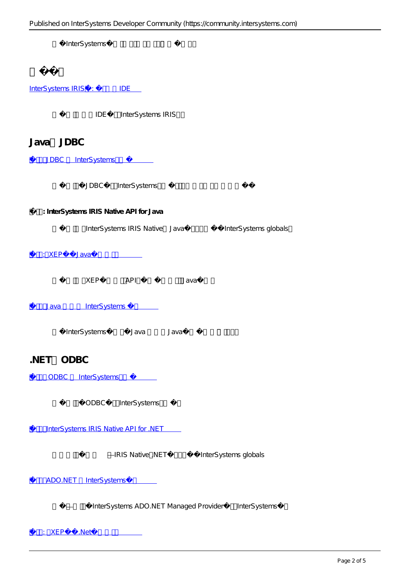InterSystems

InterSystems IRIS : IDE

IDE InterSystems IRIS

Java JDBC

JDBC InterSystems

JDBC InterSystems

**技术概要: InterSystems IRIS Native API for Java**

InterSystems IRIS Native Java hterSystems globals

t XEP Java

XEP API Java

Ja<u>va InterSystems</u>

InterSystems Java Java

## .NFT ODBC

ODBC InterSystems

ODBC InterSystems

InterSystems IRIS Native API for .NET

- IRIS Native .NET InterSystems globals

ADO.NET InterSystems

InterSystems ADO.NET Managed Provider InterSystems

 $XEP$  .Net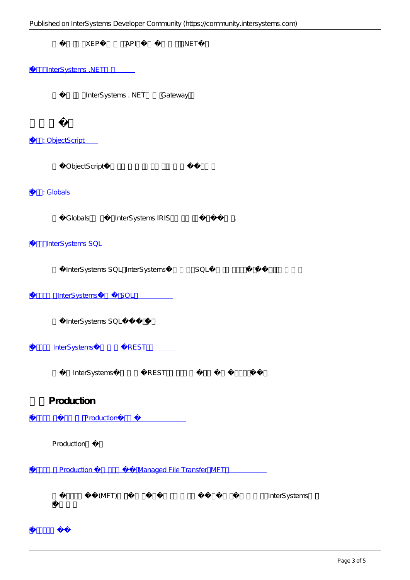| XEP<br>API<br>$\Delta N \to T$                 |              |
|------------------------------------------------|--------------|
|                                                |              |
| InterSystems.NET                               |              |
| InterSystems. NET<br>Gateway                   |              |
| : ObjectScript                                 |              |
| ObjectScript                                   |              |
| : Globals                                      |              |
| Globals<br>InterSystems IRIS                   |              |
| InterSystems SQL                               |              |
| InterSystems SQL InterSystems<br>SQL           |              |
| InterSystems<br>SQL                            |              |
| InterSystems SQL                               |              |
| InterSystems REST                              |              |
| InterSystems<br>REST                           |              |
| Production                                     |              |
| <b>Production</b>                              |              |
| Production                                     |              |
| <b>Production</b><br>Managed File Transfer MFT |              |
| (MFT)                                          | InterSystems |

[技术概要:数据转换](https://cn.community.intersystems.com/post/iris-2021-%E6%8A%80%E6%9C%AF%E6%96%87%E6%A1%A3-first-look-7-%E6%8A%80%E6%9C%AF%E6%A6%82%E8%A6%81-%E6%95%B0%E6%8D%AE%E8%BD%AC%E6%8D%A2)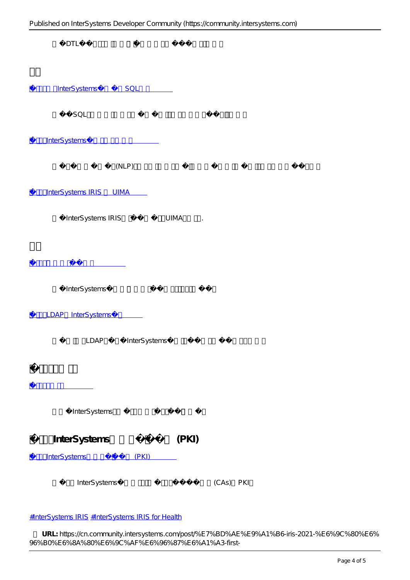DTL

| SQL<br>InterSystems    |       |           |  |
|------------------------|-------|-----------|--|
| SQL                    |       |           |  |
| InterSystems           |       |           |  |
| (NLP)                  |       |           |  |
| InterSystems IRIS UIMA |       |           |  |
| InterSystems IRIS      | UIMA  |           |  |
|                        |       |           |  |
|                        |       |           |  |
| InterSystems           |       |           |  |
| LDAP InterSystems      |       |           |  |
| LDAP<br>InterSystems   |       |           |  |
|                        |       |           |  |
|                        |       |           |  |
| InterSystems           |       |           |  |
| InterSystems           | (PKI) |           |  |
| InterSystems<br>(PKI)  |       |           |  |
| InterSystems           |       | (CAS) PKI |  |

## [#InterSystems IRIS](https://cn.community.intersystems.com/tags/intersystems-iris) [#InterSystems IRIS for Health](https://cn.community.intersystems.com/tags/intersystems-iris-health)

 **源 URL:** https://cn.community.intersystems.com/post/%E7%BD%AE%E9%A1%B6-iris-2021-%E6%9C%80%E6% 96%B0%E6%8A%80%E6%9C%AF%E6%96%87%E6%A1%A3-first